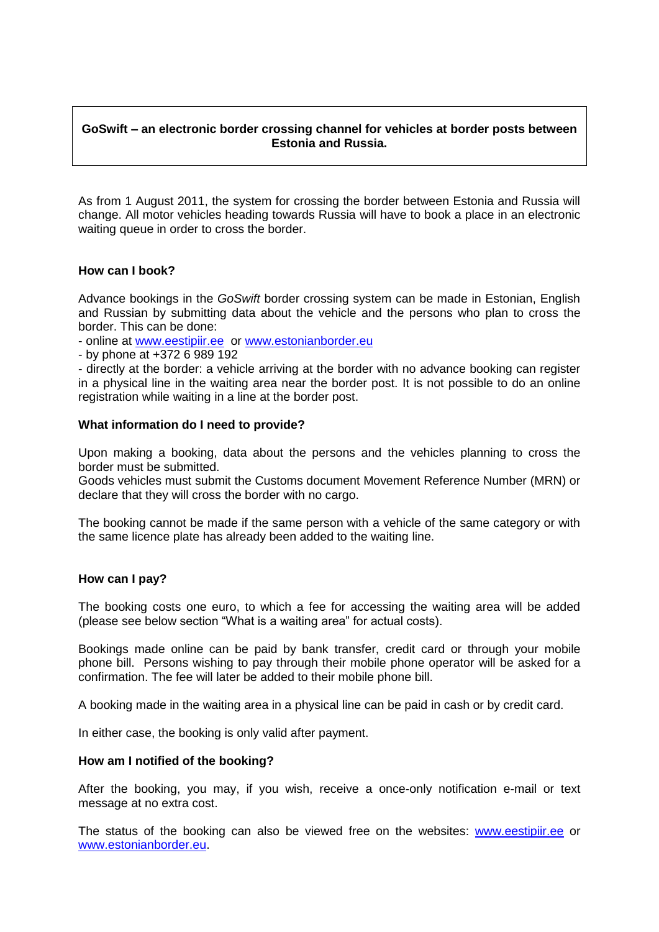# **GoSwift – an electronic border crossing channel for vehicles at border posts between Estonia and Russia.**

As from 1 August 2011, the system for crossing the border between Estonia and Russia will change. All motor vehicles heading towards Russia will have to book a place in an electronic waiting queue in order to cross the border.

### **How can I book?**

Advance bookings in the *GoSwift* border crossing system can be made in Estonian, English and Russian by submitting data about the vehicle and the persons who plan to cross the border. This can be done:

- online at [www.eestipiir.ee](http://www.eestipiir.ee/) or [www.estonianborder.eu](http://www.estonianborder.eu/)

- by phone at +372 6 989 192

- directly at the border: a vehicle arriving at the border with no advance booking can register in a physical line in the waiting area near the border post. It is not possible to do an online registration while waiting in a line at the border post.

### **What information do I need to provide?**

Upon making a booking, data about the persons and the vehicles planning to cross the border must be submitted.

Goods vehicles must submit the Customs document Movement Reference Number (MRN) or declare that they will cross the border with no cargo.

The booking cannot be made if the same person with a vehicle of the same category or with the same licence plate has already been added to the waiting line.

#### **How can I pay?**

The booking costs one euro, to which a fee for accessing the waiting area will be added (please see below section "What is a waiting area" for actual costs).

Bookings made online can be paid by bank transfer, credit card or through your mobile phone bill. Persons wishing to pay through their mobile phone operator will be asked for a confirmation. The fee will later be added to their mobile phone bill.

A booking made in the waiting area in a physical line can be paid in cash or by credit card.

In either case, the booking is only valid after payment.

#### **How am I notified of the booking?**

After the booking, you may, if you wish, receive a once-only notification e-mail or text message at no extra cost.

The status of the booking can also be viewed free on the websites: [www.eestipiir.ee](http://www.eestipiir.ee/) or [www.estonianborder.eu.](http://www.estonianborder.eu/)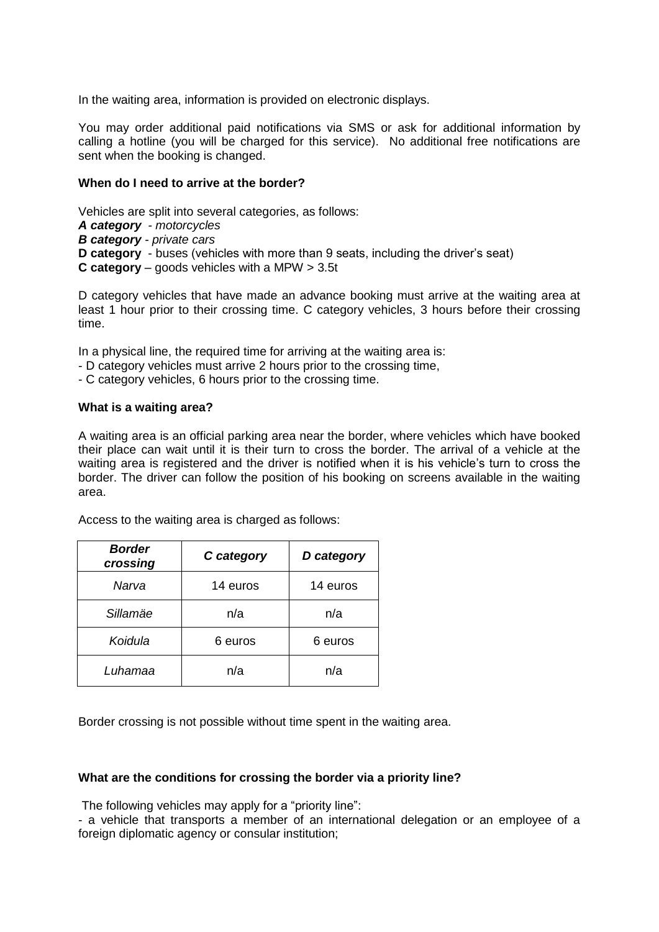In the waiting area, information is provided on electronic displays.

You may order additional paid notifications via SMS or ask for additional information by calling a hotline (you will be charged for this service). No additional free notifications are sent when the booking is changed.

## **When do I need to arrive at the border?**

Vehicles are split into several categories, as follows: *A category - motorcycles B category - private cars* **D category** - buses (vehicles with more than 9 seats, including the driver's seat) **C category** – goods vehicles with a MPW > 3.5t

D category vehicles that have made an advance booking must arrive at the waiting area at least 1 hour prior to their crossing time. C category vehicles, 3 hours before their crossing time.

In a physical line, the required time for arriving at the waiting area is:

- D category vehicles must arrive 2 hours prior to the crossing time,

- C category vehicles, 6 hours prior to the crossing time.

#### **What is a waiting area?**

A waiting area is an official parking area near the border, where vehicles which have booked their place can wait until it is their turn to cross the border. The arrival of a vehicle at the waiting area is registered and the driver is notified when it is his vehicle's turn to cross the border. The driver can follow the position of his booking on screens available in the waiting area.

| <b>Border</b><br>crossing | C category | D category |
|---------------------------|------------|------------|
| Narva                     | 14 euros   | 14 euros   |
| Sillamäe                  | n/a        | n/a        |
| Koidula                   | 6 euros    | 6 euros    |
| Luhamaa                   | n/a        | n/a        |

Access to the waiting area is charged as follows:

Border crossing is not possible without time spent in the waiting area.

#### **What are the conditions for crossing the border via a priority line?**

The following vehicles may apply for a "priority line":

- a vehicle that transports a member of an international delegation or an employee of a foreign diplomatic agency or consular institution;